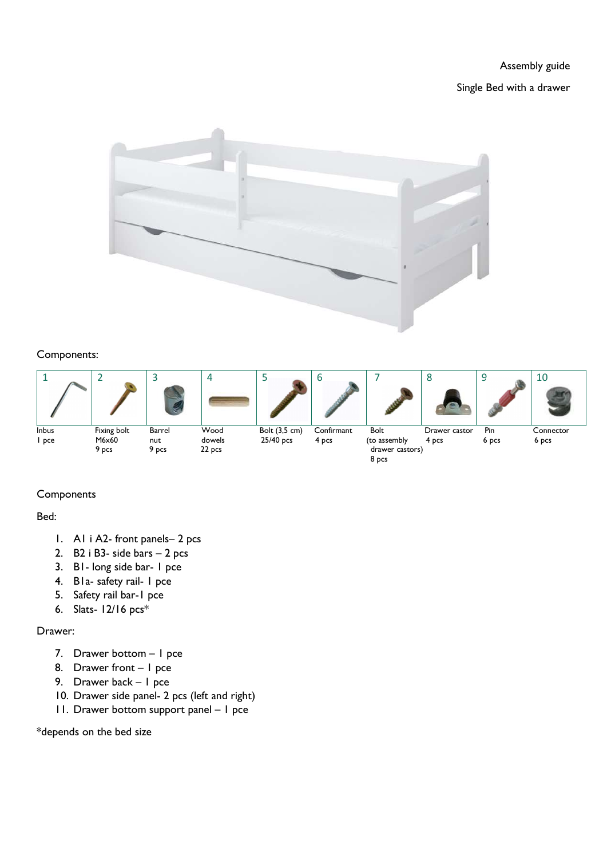Assembly guide

Single Bed with a drawer



## Components:



## **Components**

Bed:

- 1. A1 i A2- front panels– 2 pcs
- 2. B2 i B3- side bars 2 pcs
- 3. B1- long side bar- 1 pce
- 4. B1a- safety rail- 1 pce
- 5. Safety rail bar-1 pce
- 6. Slats- 12/16 pcs\*

## Drawer:

- 7. Drawer bottom 1 pce
- 8. Drawer front 1 pce
- 9. Drawer back 1 pce
- 10. Drawer side panel- 2 pcs (left and right)
- 11. Drawer bottom support panel 1 pce

\*depends on the bed size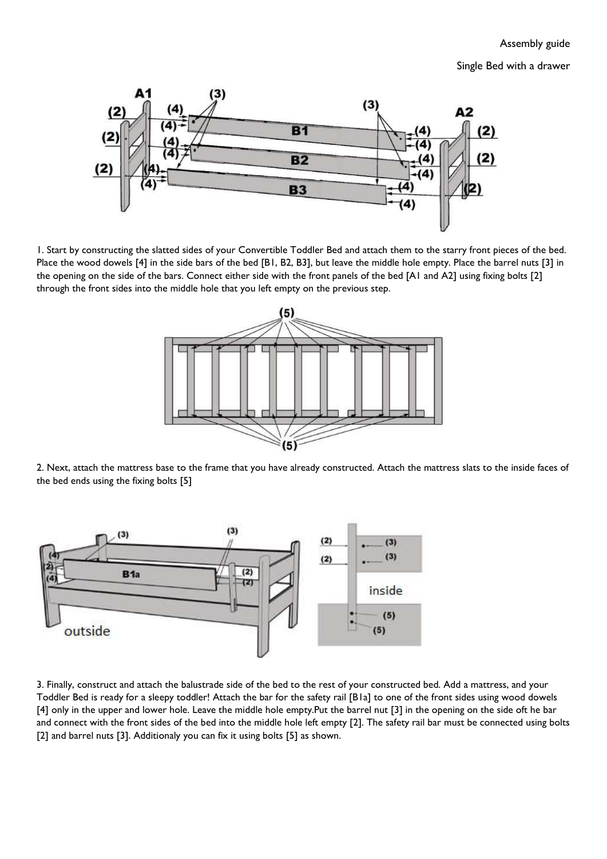Single Bed with a drawer



1. Start by constructing the slatted sides of your Convertible Toddler Bed and attach them to the starry front pieces of the bed. Place the wood dowels [4] in the side bars of the bed [B1, B2, B3], but leave the middle hole empty. Place the barrel nuts [3] in the opening on the side of the bars. Connect either side with the front panels of the bed [A1 and A2] using fixing bolts [2] through the front sides into the middle hole that you left empty on the previous step.



2. Next, attach the mattress base to the frame that you have already constructed. Attach the mattress slats to the inside faces of the bed ends using the fixing bolts [5]



3. Finally, construct and attach the balustrade side of the bed to the rest of your constructed bed. Add a mattress, and your Toddler Bed is ready for a sleepy toddler! Attach the bar for the safety rail [B1a] to one of the front sides using wood dowels [4] only in the upper and lower hole. Leave the middle hole empty.Put the barrel nut [3] in the opening on the side oft he bar and connect with the front sides of the bed into the middle hole left empty [2]. The safety rail bar must be connected using bolts [2] and barrel nuts [3]. Additionaly you can fix it using bolts [5] as shown.